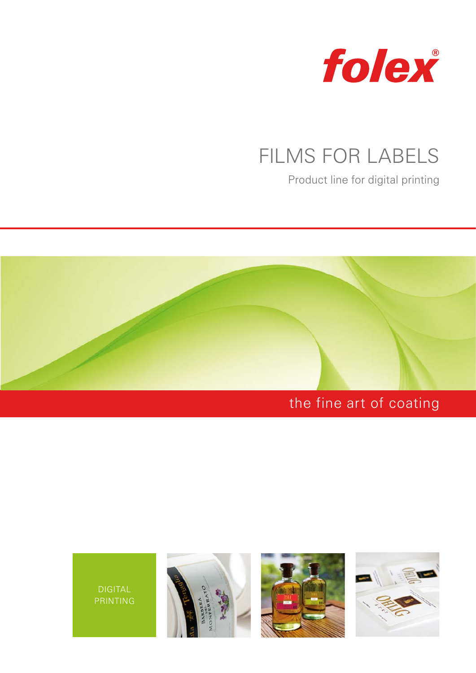

# FILMS FOR LABELS

Product line for digital printing



# the fine art of coating





DIGITAL PRINTING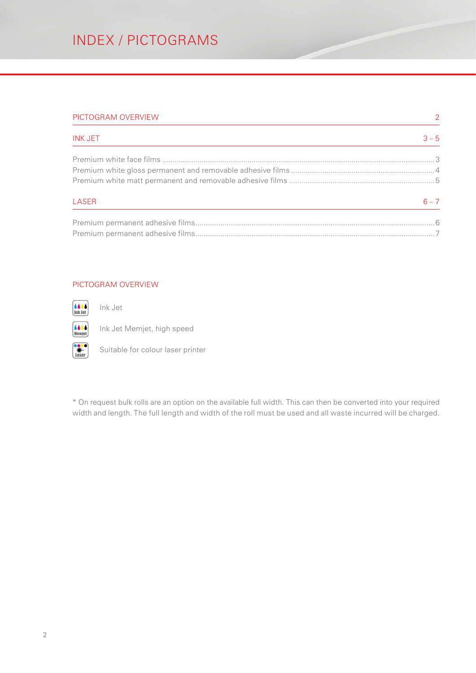#### PICTOGRAM OVERVIEW 2

| <b>INK JET</b> | $3 - 5$ |
|----------------|---------|
|                |         |
|                |         |
|                |         |
| LASER          | $6 - 7$ |
|                |         |

Premium permanent adhesive films...................................................................................................................7

#### PICTOGRAM OVERVIEW

6666 Ink Jet

Ink Jet 6664 Memjet

Laser

Ink Jet Memjet, high speed

Suitable for colour laser printer

\* On request bulk rolls are an option on the available full width. This can then be converted into your required width and length. The full length and width of the roll must be used and all waste incurred will be charged.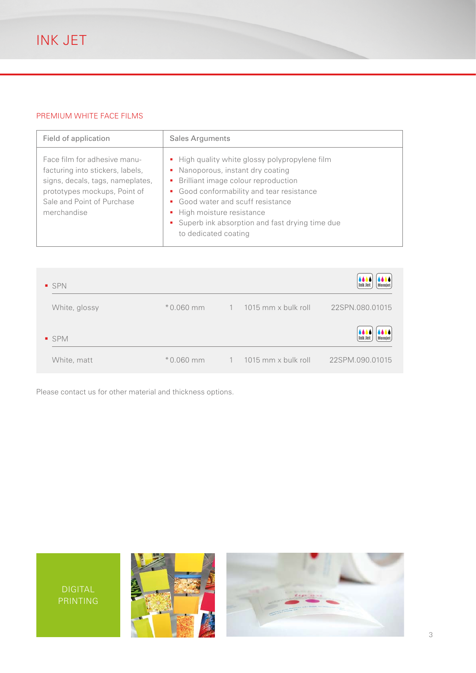# PREMIUM WHITE FACE FILMS

| Field of application                                                                                                                                                              | <b>Sales Arguments</b>                                                                                                                                                                                                                                                                                                       |
|-----------------------------------------------------------------------------------------------------------------------------------------------------------------------------------|------------------------------------------------------------------------------------------------------------------------------------------------------------------------------------------------------------------------------------------------------------------------------------------------------------------------------|
| Face film for adhesive manu-<br>facturing into stickers, labels,<br>signs, decals, tags, nameplates,<br>prototypes mockups, Point of<br>Sale and Point of Purchase<br>merchandise | • High quality white glossy polypropylene film<br>Nanoporous, instant dry coating<br>٠<br>Brilliant image colour reproduction<br>٠<br>• Good conformability and tear resistance<br>Good water and scuff resistance<br>• High moisture resistance<br>• Superb ink absorption and fast drying time due<br>to dedicated coating |

| <b>SPN</b>    |             |                |                       | 4444<br><b>Ink Jet</b><br>Memjet |
|---------------|-------------|----------------|-----------------------|----------------------------------|
| White, glossy | $*0.060$ mm | $\overline{1}$ | $1015$ mm x bulk roll | 22SPN.080.01015                  |
| ■ SPM         |             |                |                       | 8666<br><b>Ink Jet</b><br>Memjet |
| White, matt   | $*0.060$ mm | $\mathbf{1}$   | $1015$ mm x bulk roll | 22SPM.090.01015                  |

Please contact us for other material and thickness options.

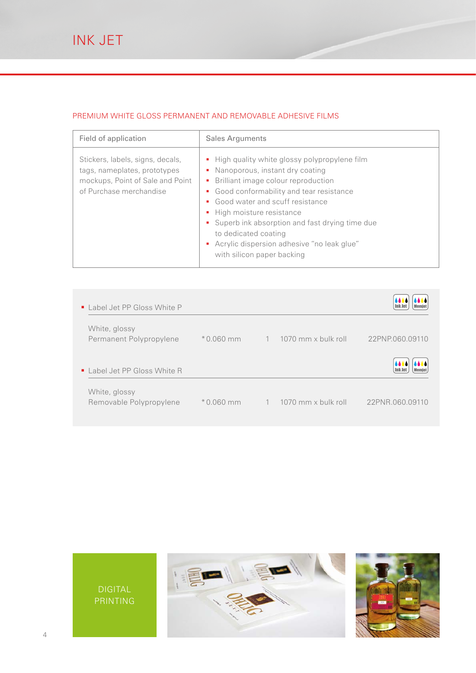### PREMIUM WHITE GLOSS PERMANENT AND REMOVABLE ADHESIVE FILMS

| Field of application                                                                                                            | <b>Sales Arguments</b>                                                                                                                                                                                                                                                                                                                                                                                 |
|---------------------------------------------------------------------------------------------------------------------------------|--------------------------------------------------------------------------------------------------------------------------------------------------------------------------------------------------------------------------------------------------------------------------------------------------------------------------------------------------------------------------------------------------------|
| Stickers, labels, signs, decals,<br>tags, nameplates, prototypes<br>mockups, Point of Sale and Point<br>of Purchase merchandise | • High quality white glossy polypropylene film<br>• Nanoporous, instant dry coating<br>• Brilliant image colour reproduction<br>• Good conformability and tear resistance<br>• Good water and scuff resistance<br>• High moisture resistance<br>• Superb ink absorption and fast drying time due<br>to dedicated coating<br>" Acrylic dispersion adhesive "no leak glue"<br>with silicon paper backing |

| $\blacksquare$ Label Jet PP Gloss White P |             |                |                       |                 |
|-------------------------------------------|-------------|----------------|-----------------------|-----------------|
| White, glossy<br>Permanent Polypropylene  | $*0.060$ mm | $\overline{1}$ | 1070 mm x bulk roll   | 22PNP.060.09110 |
| ■ Label Jet PP Gloss White R              |             |                |                       | lnk Jet         |
| White, glossy<br>Removable Polypropylene  | $*0.060$ mm | $-1$           | - 1070 mm x bulk roll | 22PNR.060.09110 |

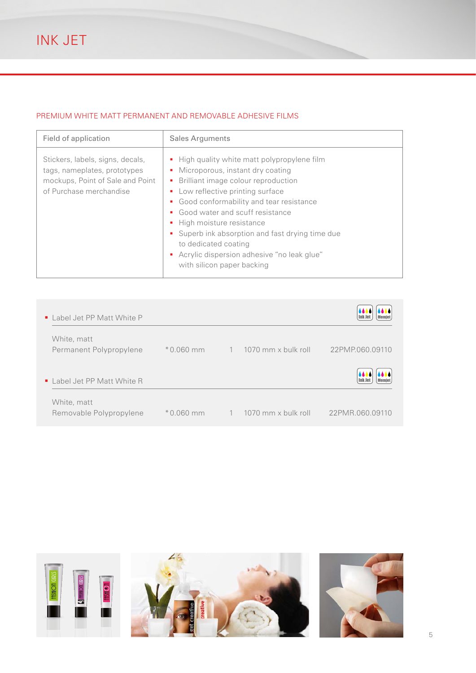# PREMIUM WHITE MATT PERMANENT AND REMOVABLE ADHESIVE FILMS

| Field of application                                                                                                            | <b>Sales Arguments</b>                                                                                                                                                                                                                                                                                                                                                                                                                            |
|---------------------------------------------------------------------------------------------------------------------------------|---------------------------------------------------------------------------------------------------------------------------------------------------------------------------------------------------------------------------------------------------------------------------------------------------------------------------------------------------------------------------------------------------------------------------------------------------|
| Stickers, labels, signs, decals,<br>tags, nameplates, prototypes<br>mockups, Point of Sale and Point<br>of Purchase merchandise | • High quality white matt polypropylene film<br>Microporous, instant dry coating<br>٠<br>Brilliant image colour reproduction<br>٠<br>• Low reflective printing surface<br>• Good conformability and tear resistance<br>Good water and scuff resistance<br>٠<br>• High moisture resistance<br>• Superb ink absorption and fast drying time due<br>to dedicated coating<br>Acrylic dispersion adhesive "no leak glue"<br>with silicon paper backing |

| ■ Label Jet PP Matt White P            |             |                |                     | 4444<br><b>Ink Jet</b><br><b>Memjet</b> |
|----------------------------------------|-------------|----------------|---------------------|-----------------------------------------|
| White, matt<br>Permanent Polypropylene | $*0.060$ mm | $\overline{1}$ | 1070 mm x bulk roll | 22PMP.060.09110                         |
| ■ Label Jet PP Matt White R            |             |                |                     | 4444<br><b>Ink Jet</b><br><b>Memjet</b> |
| White, matt<br>Removable Polypropylene | $*0.060$ mm |                | 1070 mm x bulk roll | 22PMR.060.09110                         |

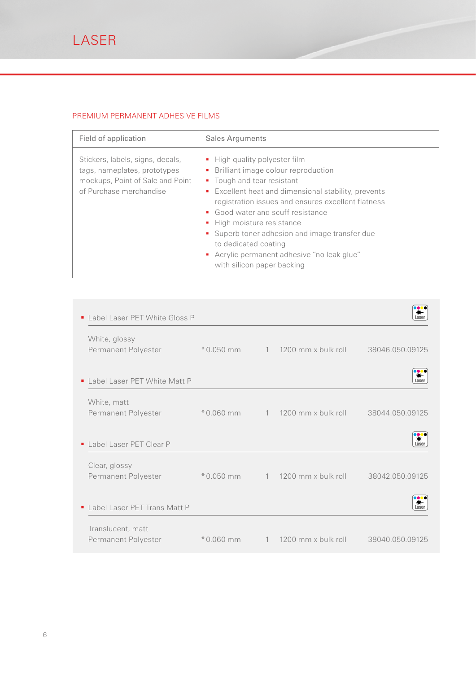# PREMIUM PERMANENT ADHESIVE FILMS

| Field of application                                                                                                            | <b>Sales Arguments</b>                                                                                                                                                                                                                                                                                                                                                                                                                        |
|---------------------------------------------------------------------------------------------------------------------------------|-----------------------------------------------------------------------------------------------------------------------------------------------------------------------------------------------------------------------------------------------------------------------------------------------------------------------------------------------------------------------------------------------------------------------------------------------|
| Stickers, labels, signs, decals,<br>tags, nameplates, prototypes<br>mockups, Point of Sale and Point<br>of Purchase merchandise | • High quality polyester film<br>Brilliant image colour reproduction<br>٠<br>• Tough and tear resistant<br>• Excellent heat and dimensional stability, prevents<br>registration issues and ensures excellent flatness<br>• Good water and scuff resistance<br>• High moisture resistance<br>• Superb toner adhesion and image transfer due<br>to dedicated coating<br>Acrylic permanent adhesive "no leak glue"<br>with silicon paper backing |

| • Label Laser PET White Gloss P |             |              |                     |                 |
|---------------------------------|-------------|--------------|---------------------|-----------------|
| White, glossy                   |             |              |                     |                 |
| Permanent Polyester             | $*0.050$ mm | 1            | 1200 mm x bulk roll | 38046.050.09125 |
|                                 |             |              |                     |                 |
| ■ Label Laser PET White Matt P  |             |              |                     | aser            |
| White, matt                     |             |              |                     |                 |
| Permanent Polyester             | $*0.060$ mm | $\mathbf{1}$ | 1200 mm x bulk roll | 38044.050.09125 |
|                                 |             |              |                     |                 |
| I abel Laser PFT Clear P        |             |              |                     |                 |
| Clear, glossy                   |             |              |                     |                 |
| Permanent Polyester             | $*0.050$ mm | $\mathbf{1}$ | 1200 mm x bulk roll | 38042.050.09125 |
|                                 |             |              |                     |                 |
| Label Laser PET Trans Matt P    |             |              |                     | asei            |
| Translucent, matt               |             |              |                     |                 |
| Permanent Polyester             | $*0.060$ mm | 1            | 1200 mm x bulk roll | 38040.050.09125 |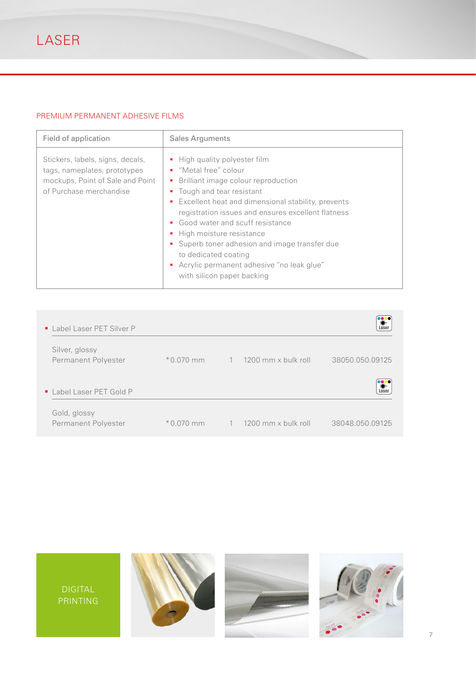# PREMIUM PERMANENT ADHESIVE FILMS

| Field of application                                                                                                            | <b>Sales Arguments</b>                                                                                                                                                                                                                                                                                                                                                                                                                                                             |
|---------------------------------------------------------------------------------------------------------------------------------|------------------------------------------------------------------------------------------------------------------------------------------------------------------------------------------------------------------------------------------------------------------------------------------------------------------------------------------------------------------------------------------------------------------------------------------------------------------------------------|
| Stickers, labels, signs, decals,<br>tags, nameplates, prototypes<br>mockups, Point of Sale and Point<br>of Purchase merchandise | • High quality polyester film<br>"Metal free" colour<br>٠<br>Brilliant image colour reproduction<br>٠<br>Tough and tear resistant<br>٠<br>Excellent heat and dimensional stability, prevents<br>٠<br>registration issues and ensures excellent flatness<br>• Good water and scuff resistance<br>High moisture resistance<br>• Superb toner adhesion and image transfer due<br>to dedicated coating<br>Acrylic permanent adhesive "no leak glue"<br>٠<br>with silicon paper backing |

| • Label Laser PET Silver P            |             |                |                           |                          |
|---------------------------------------|-------------|----------------|---------------------------|--------------------------|
| Silver, glossy<br>Permanent Polyester | $*0.070$ mm | $\overline{1}$ | 1200 mm x bulk roll       | 38050.050.09125          |
| • Label Laser PET Gold P              |             |                |                           | <b>Dec</b><br>#<br>Laser |
| Gold, glossy<br>Permanent Polyester   | $*0.070$ mm |                | $1 \t1200$ mm x bulk roll | 38048.050.09125          |